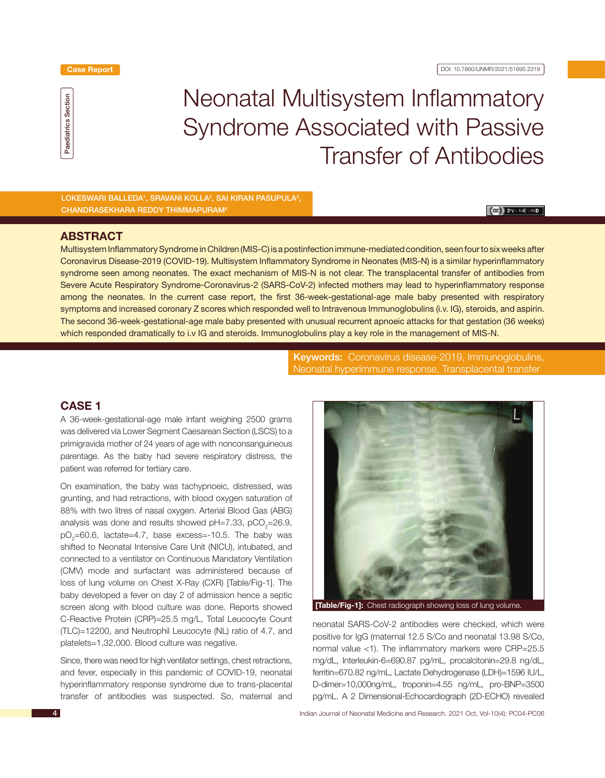

# Neonatal Multisystem Inflammatory Syndrome Associated with Passive Transfer of Antibodies

 Lokeswari Balleda1 , Sravani Kolla2 , Sai Kiran Pasupula3 , Chandrasekhara Reddy Thimmapuram4

### $\left[\left(00\right)\right]$  by - MC - ND

### **ABSTRACT**

Multisystem Inflammatory Syndrome in Children (MIS-C) is a postinfection immune-mediated condition, seen four to six weeks after Coronavirus Disease-2019 (COVID-19). Multisystem Inflammatory Syndrome in Neonates (MIS-N) is a similar hyperinflammatory syndrome seen among neonates. The exact mechanism of MIS-N is not clear. The transplacental transfer of antibodies from Severe Acute Respiratory Syndrome-Coronavirus-2 (SARS-CoV-2) infected mothers may lead to hyperinflammatory response among the neonates. In the current case report, the first 36-week-gestational-age male baby presented with respiratory symptoms and increased coronary Z scores which responded well to Intravenous Immunoglobulins (i.v. IG), steroids, and aspirin. The second 36-week-gestational-age male baby presented with unusual recurrent apnoeic attacks for that gestation (36 weeks) which responded dramatically to i.v IG and steroids. Immunoglobulins play a key role in the management of MIS-N.

> Keywords: Coronavirus disease-2019, Immunoglobulins, Neonatal hyperimmune response, Transplacental transfer

# **CASE 1**

A 36-week-gestational-age male infant weighing 2500 grams was delivered via Lower Segment Caesarean Section (LSCS) to a primigravida mother of 24 years of age with nonconsanguineous parentage. As the baby had severe respiratory distress, the patient was referred for tertiary care.

On examination, the baby was tachypnoeic, distressed, was grunting, and had retractions, with blood oxygen saturation of 88% with two litres of nasal oxygen. Arterial Blood Gas (ABG) analysis was done and results showed pH=7.33, pCO<sub>2</sub>=26.9,  $pO<sub>2</sub>=60.6$ , lactate=4.7, base excess=-10.5. The baby was shifted to Neonatal Intensive Care Unit (NICU), intubated, and connected to a ventilator on Continuous Mandatory Ventilation (CMV) mode and surfactant was administered because of loss of lung volume on Chest X-Ray (CXR) [Table/Fig-1]. The baby developed a fever on day 2 of admission hence a septic screen along with blood culture was done. Reports showed C-Reactive Protein (CRP)=25.5 mg/L, Total Leucocyte Count (TLC)=12200, and Neutrophil Leucocyte (NL) ratio of 4.7, and platelets=1,32,000. Blood culture was negative.

Since, there was need for high ventilator settings, chest retractions, and fever, especially in this pandemic of COVID-19, neonatal hyperinflammatory response syndrome due to trans-placental transfer of antibodies was suspected. So, maternal and



**[Table/Fig-1]:** Chest radiograph showing loss of lung volume.

neonatal SARS-CoV-2 antibodies were checked, which were positive for IgG (maternal 12.5 S/Co and neonatal 13.98 S/Co, normal value <1). The inflammatory markers were CRP=25.5 mg/dL, Interleukin-6=690.87 pg/mL, procalcitonin=29.8 ng/dL, ferritin=670.82 ng/mL, Lactate Dehydrogenase (LDH)=1596 IU/L, D-dimer=10,000ng/mL, troponin=4.55 ng/mL, pro-BNP=3500 pg/mL. A 2 Dimensional-Echocardiograph (2D-ECHO) revealed

Indian Journal of Neonatal Medicine and Research. 2021 Oct, Vol-10(4): PC04-PC06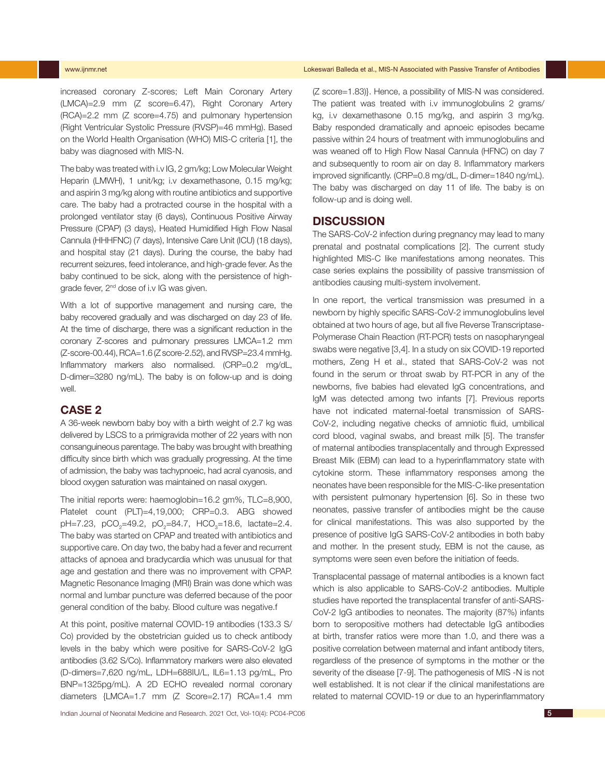increased coronary Z-scores; Left Main Coronary Artery (LMCA)=2.9 mm (Z score=6.47), Right Coronary Artery (RCA)=2.2 mm (Z score=4.75) and pulmonary hypertension (Right Ventricular Systolic Pressure (RVSP)=46 mmHg). Based on the World Health Organisation (WHO) MIS-C criteria [1], the baby was diagnosed with MIS-N.

The baby was treated with i.v IG, 2 gm/kg; Low Molecular Weight Heparin (LMWH), 1 unit/kg; i.v dexamethasone, 0.15 mg/kg; and aspirin 3 mg/kg along with routine antibiotics and supportive care. The baby had a protracted course in the hospital with a prolonged ventilator stay (6 days), Continuous Positive Airway Pressure (CPAP) (3 days), Heated Humidified High Flow Nasal Cannula (HHHFNC) (7 days), Intensive Care Unit (ICU) (18 days), and hospital stay (21 days). During the course, the baby had recurrent seizures, feed intolerance, and high-grade fever. As the baby continued to be sick, along with the persistence of highgrade fever, 2<sup>nd</sup> dose of i.v IG was given.

With a lot of supportive management and nursing care, the baby recovered gradually and was discharged on day 23 of life. At the time of discharge, there was a significant reduction in the coronary Z-scores and pulmonary pressures LMCA=1.2 mm  $(Z$ -score-00.44), RCA=1.6 ( $Z$  score-2.52), and RVSP=23.4 mmHg. Inflammatory markers also normalised. (CRP=0.2 mg/dL, D-dimer=3280 ng/mL). The baby is on follow-up and is doing well.

## **CASE 2**

A 36-week newborn baby boy with a birth weight of 2.7 kg was delivered by LSCS to a primigravida mother of 22 years with non consanguineous parentage. The baby was brought with breathing difficulty since birth which was gradually progressing. At the time of admission, the baby was tachypnoeic, had acral cyanosis, and blood oxygen saturation was maintained on nasal oxygen.

The initial reports were: haemoglobin=16.2 gm%, TLC=8,900, Platelet count (PLT)=4,19,000; CRP=0.3. ABG showed pH=7.23, pCO<sub>2</sub>=49.2, pO<sub>2</sub>=84.7, HCO<sub>3</sub>=18.6, lactate=2.4. The baby was started on CPAP and treated with antibiotics and supportive care. On day two, the baby had a fever and recurrent attacks of apnoea and bradycardia which was unusual for that age and gestation and there was no improvement with CPAP. Magnetic Resonance Imaging (MRI) Brain was done which was normal and lumbar puncture was deferred because of the poor general condition of the baby. Blood culture was negative.f

At this point, positive maternal COVID-19 antibodies (133.3 S/ Co) provided by the obstetrician guided us to check antibody levels in the baby which were positive for SARS-CoV-2 IgG antibodies (3.62 S/Co). Inflammatory markers were also elevated (D-dimers=7,620 ng/mL, LDH=688IU/L, IL6=1.13 pg/mL, Pro BNP=1325pg/mL). A 2D ECHO revealed normal coronary diameters {LMCA=1.7 mm (Z Score=2.17) RCA=1.4 mm (Z score=1.83)}. Hence, a possibility of MIS-N was considered. The patient was treated with i.v immunoglobulins 2 grams/ kg, i.v dexamethasone 0.15 mg/kg, and aspirin 3 mg/kg. Baby responded dramatically and apnoeic episodes became passive within 24 hours of treatment with immunoglobulins and was weaned off to High Flow Nasal Cannula (HFNC) on day 7 and subsequently to room air on day 8. Inflammatory markers improved significantly. (CRP=0.8 mg/dL, D-dimer=1840 ng/mL). The baby was discharged on day 11 of life. The baby is on follow-up and is doing well.

### **DISCUSSION**

The SARS-CoV-2 infection during pregnancy may lead to many prenatal and postnatal complications [2]. The current study highlighted MIS-C like manifestations among neonates. This case series explains the possibility of passive transmission of antibodies causing multi-system involvement.

In one report, the vertical transmission was presumed in a newborn by highly specific SARS-CoV-2 immunoglobulins level obtained at two hours of age, but all five Reverse Transcriptase-Polymerase Chain Reaction (RT-PCR) tests on nasopharyngeal swabs were negative [3,4]. In a study on six COVID-19 reported mothers, Zeng H et al., stated that SARS-CoV-2 was not found in the serum or throat swab by RT-PCR in any of the newborns, five babies had elevated IgG concentrations, and IgM was detected among two infants [7]. Previous reports have not indicated maternal-foetal transmission of SARS-CoV-2, including negative checks of amniotic fluid, umbilical cord blood, vaginal swabs, and breast milk [5]. The transfer of maternal antibodies transplacentally and through Expressed Breast Milk (EBM) can lead to a hyperinflammatory state with cytokine storm. These inflammatory responses among the neonates have been responsible for the MIS-C-like presentation with persistent pulmonary hypertension [6]. So in these two neonates, passive transfer of antibodies might be the cause for clinical manifestations. This was also supported by the presence of positive IgG SARS-CoV-2 antibodies in both baby and mother. In the present study, EBM is not the cause, as symptoms were seen even before the initiation of feeds.

Transplacental passage of maternal antibodies is a known fact which is also applicable to SARS-CoV-2 antibodies. Multiple studies have reported the transplacental transfer of anti-SARS-CoV-2 IgG antibodies to neonates. The majority (87%) infants born to seropositive mothers had detectable IgG antibodies at birth, transfer ratios were more than 1.0, and there was a positive correlation between maternal and infant antibody titers, regardless of the presence of symptoms in the mother or the severity of the disease [7-9]. The pathogenesis of MIS -N is not well established. It is not clear if the clinical manifestations are related to maternal COVID-19 or due to an hyperinflammatory